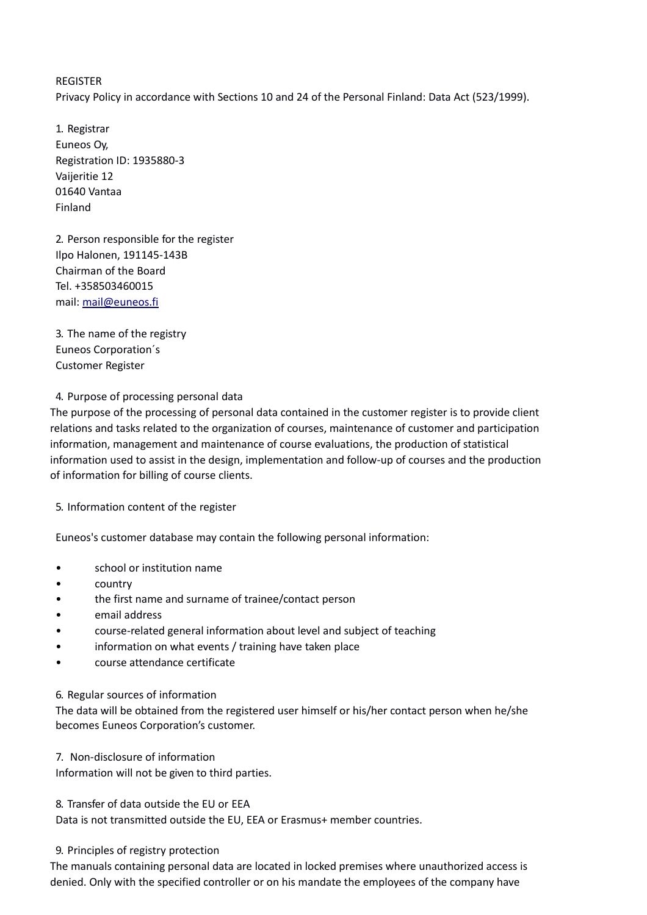REGISTER Privacy Policy in accordance with Sections 10 and 24 of the Personal Finland: Data Act (523/1999).

1. Registrar Euneos Oy, Registration ID: 1935880-3 Vaijeritie 12 01640 Vantaa Finland

2. Person responsible for the register Ilpo Halonen, 191145-143B Chairman of the Board Tel. +358503460015 mail: [mail@euneos.fi](mailto:mail@euneos.fi)

3. The name of the registry Euneos Corporation´s Customer Register

4. Purpose of processing personal data

The purpose of the processing of personal data contained in the customer register is to provide client relations and tasks related to the organization of courses, maintenance of customer and participation information, management and maintenance of course evaluations, the production of statistical information used to assist in the design, implementation and follow-up of courses and the production of information for billing of course clients.

5. Information content of the register

Euneos's customer database may contain the following personal information:

- school or institution name
- country
- the first name and surname of trainee/contact person
- email address
- course-related general information about level and subject of teaching
- information on what events / training have taken place
- course attendance certificate

## 6. Regular sources of information

The data will be obtained from the registered user himself or his/her contact person when he/she becomes Euneos Corporation's customer.

7. Non-disclosure of information

Information will not be given to third parties.

8. Transfer of data outside the EU or EEA

Data is not transmitted outside the EU, EEA or Erasmus+ member countries.

## 9. Principles of registry protection

The manuals containing personal data are located in locked premises where unauthorized access is denied. Only with the specified controller or on his mandate the employees of the company have